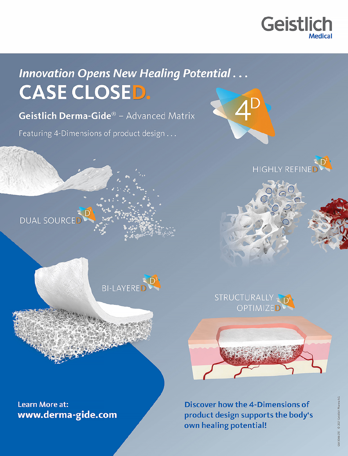## **Geistlich** Medical

# **Innovation Opens New Healing Potential... CASE CLOSED.**

Geistlich Derma-Gide® - Advanced Matrix

Featuring 4-Dimensions of product design . . .









### **Learn More at:** www.derma-gide.com





**Discover how the 4-Dimensions of** product design supports the body's own healing potential!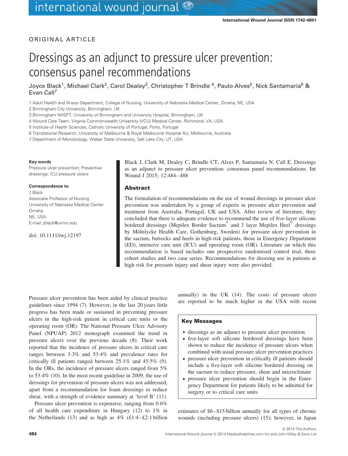#### ORIGINAL ARTICLE

## Dressings as an adjunct to pressure ulcer prevention: consensus panel recommendations

Joyce Black<sup>1</sup>, Michael Clark<sup>2</sup>, Carol Dealey<sup>3</sup>, Christopher T Brindle <sup>4</sup>, Paulo Alves<sup>5</sup>, Nick Santamaria<sup>6</sup> & Evan Call<sup>7</sup>

1 Adult Health and Illness Department, College of Nursing, University of Nebraska Medical Center, Omaha, NE, USA

2 Birmingham City University, Birmingham, UK

3 Birmingham NHSFT, University of Birmingham and University Hospital, Birmingham, UK

4 Wound Care Team, Virginia Commonwealth University (VCU) Medical Center, Richmond, VA, USA

5 Institute of Health Sciences, Catholic University of Portugal, Porto, Portugal

6 Translational Research, University of Melbourne & Royal Melbourne Hospital AU, Melbourne, Australia

7 Department of Microbiology, Weber State University, Salt Lake City, UT, USA

#### **Key words**

Pressure ulcer prevention; Preventive dressings; ICU pressure ulcers

#### **Correspondence to**

J Black Associate Professor of Nursing University of Nebraska Medical Center Omaha NE, USA E-mail: jblack@unmc.edu

doi: 10.1111/iwj.12197

Black J, Clark M, Dealey C, Brindle CT, Alves P, Santamaria N, Call E. Dressings as an adjunct to pressure ulcer prevention: consensus panel recommendations. Int Wound J 2015; 12:484–488

#### **Abstract**

The formulation of recommendations on the use of wound dressings in pressure ulcer prevention was undertaken by a group of experts in pressure ulcer prevention and treatment from Australia, Portugal, UK and USA. After review of literature, they concluded that there is adequate evidence to recommend the use of five-layer silicone bordered dressings (Mepilex Border Sacrum® and 3 layer Mepilex Heel® dressings by Mölnlycke Health Care, Gothenburg, Sweden) for pressure ulcer prevention in the sacrum, buttocks and heels in high-risk patients, those in Emergency Department (ED), intensive care unit (ICU) and operating room (OR). Literature on which this recommendation is based includes one prospective randomised control trial, three cohort studies and two case series. Recommendations for dressing use in patients at high risk for pressure injury and shear injury were also provided.

Pressure ulcer prevention has been aided by clinical practice guidelines since 1994 (7). However, in the last 20 years little progress has been made or sustained in preventing pressure ulcers in the high-risk patient in critical care units or the operating room (OR). The National Pressure Ulcer Advisory Panel (NPUAP) 2012 monograph examined the trend in pressure ulcers over the previous decade (8). Their work reported that the incidence of pressure ulcers in critical care ranges between 3·3% and 53·4% and prevalence rates for critically ill patients ranged between 25·1% and 45·5% (9). In the ORs, the incidence of pressure ulcers ranged from 5% to 53·4% (10). In the most recent guideline in 2009, the use of dressings for prevention of pressure ulcers was not addressed, apart from a recommendation for foam dressings to reduce shear, with a strength of evidence summary at 'level B' (11).

Pressure ulcer prevention is expensive, ranging from  $0.6\%$ of all health care expenditure in Hungary  $(12)$  to  $1\%$  in the Netherlands (13) and as high as  $4\%$  (£1.4–£2.1 billion annually) in the UK (14). The costs of pressure ulcers are reported to be much higher in the USA with recent

#### **Key Messages**

- dressings as an adjunct to pressure ulcer prevention
- five-layer soft silicone bordered dressings have been shown to reduce the incidence of pressure ulcers when combined with usual pressure ulcer prevention practices
- pressure ulcer prevention in critically ill patients should include a five-layer soft silicone bordered dressing on the sacrum to reduce pressure, shear and microclimate
- pressure ulcer prevention should begin in the Emergency Department for patients likely to be admitted for surgery or to critical care units

estimates of \$6–\$15 billion annually for all types of chronic wounds (including pressure ulcers) (15); however, in Japan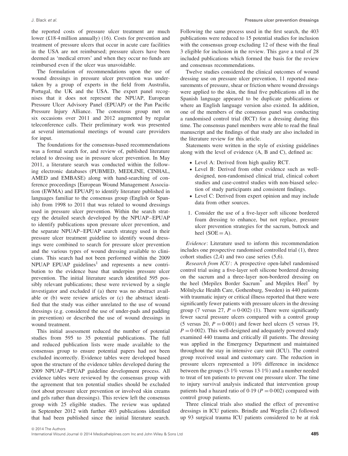the reported costs of pressure ulcer treatment are much lower (£18·4 million annually) (16). Costs for prevention and treatment of pressure ulcers that occur in acute care facilities in the USA are not reimbursed; pressure ulcers have been deemed as 'medical errors' and when they occur no funds are reimbursed even if the ulcer was unavoidable.

The formulation of recommendations upon the use of wound dressings in pressure ulcer prevention was undertaken by a group of experts in the field from Australia, Portugal, the UK and the USA. The expert panel recognises that it does not represent the NPUAP, European Pressure Ulcer Advisory Panel (EPUAP) or the Pan Pacific Pressure Injury Alliance. The consensus group met on six occasions over 2011 and 2012 augmented by regular teleconference calls. Their preliminary work was presented at several international meetings of wound care providers for input.

The foundations for the consensus-based recommendations was a formal search for, and review of, published literature related to dressing use in pressure ulcer prevention. In May 2011, a literature search was conducted within the following electronic databases (PUBMED, MEDLINE, CINHAL, AMED and EMBASE) along with hand-searching of conference proceedings [European Wound Management Association (EWMA) and EPUAP] to identify literature published in languages familiar to the consensus group (English or Spanish) from 1998 to 2011 that was related to wound dressings used in pressure ulcer prevention. Within the search strategy the detailed search developed by the NPUAP–EPUAP to identify publications upon pressure ulcer prevention, and the separate NPUAP–EPUAP search strategy used in their pressure ulcer treatment guideline to identify wound dressings were combined to search for pressure ulcer prevention and the various types of wound dressing available to clinicians. This search had not been performed within the 2009  $NPUAP$  EPUAP guidelines<sup>1</sup> and represents a new contribution to the evidence base that underpins pressure ulcer prevention. The initial literature search identified 595 possibly relevant publications; these were reviewed by a single investigator and excluded if (a) there was no abstract available or (b) were review articles or (c) the abstract identified that the study was either unrelated to the use of wound dressings (e.g. considered the use of under-pads and padding in prevention) or described the use of wound dressings in wound treatment.

This initial assessment reduced the number of potential studies from 595 to 35 potential publications. The full and reduced publication lists were made available to the consensus group to ensure potential papers had not been excluded incorrectly. Evidence tables were developed based upon the structure of the evidence tables developed during the 2009 NPUAP–EPUAP guideline development process. All evidence tables were reviewed by the consensus group with the agreement that ten potential studies should be excluded (not about pressure ulcer prevention or involved skin creams and gels rather than dressings). This review left the consensus group with 25 eligible studies. The review was updated in September 2012 with further 403 publications identified that had been published since the initial literature search. Following the same process used in the first search, the 403 publications were reduced to 15 potential studies for inclusion with the consensus group excluding 12 of these with the final 3 eligible for inclusion in the review. This gave a total of 28 included publications which formed the basis for the review and consensus recommendations.

Twelve studies considered the clinical outcomes of wound dressing use on pressure ulcer prevention, 11 reported measurements of pressure, shear or friction where wound dressings were applied to the skin, the final five publications all in the Spanish language appeared to be duplicate publications or where an English language version also existed. In addition, one of the members of the consensus panel was conducting a randomised control trial (RCT) for a dressing during this time. The consensus panel members were able to read the final manuscript and the findings of that study are also included in the literature review for this article.

Statements were written in the style of existing guidelines along with the level of evidence (A, B and C), defined as:

- Level A: Derived from high quality RCT.
- Level B: Derived from other evidence such as welldesigned, non-randomised clinical trial, clinical cohort studies and case-control studies with non-biased selection of study participants and consistent findings.
- Level C: Derived from expert opinion and may include data from other sources.
- 1. Consider the use of a five-layer soft silicone bordered foam dressing to enhance, but not replace, pressure ulcer prevention strategies for the sacrum, buttock and heel  $(SOE = A)$ .

*Evidence*: Literature used to inform this recommendation includes one prospective randomised controlled trial (1), three cohort studies (2,4) and two case series (5,6).

*Research from ICU* : A prospective open-label randomised control trial using a five-layer soft silicone bordered dressing on the sacrum and a three-layer non-bordered dressing on the heel (Mepilex Border Sacrum<sup>®</sup> and Mepilex Heel<sup>®</sup> by Mölnlycke Health Care, Gothenburg, Sweden) in 440 patients with traumatic injury or critical illness reported that there were significantly fewer patients with pressure ulcers in the dressing group (7 versus 27,  $P = 0.002$ ) (1). There were significantly fewer sacral pressure ulcers compared with a control group (5 versus 20,  $P = 0.001$ ) and fewer heel ulcers (5 versus 19,  $P = 0.002$ ). This well-designed and adequately powered study examined 440 trauma and critically ill patients. The dressing was applied in the Emergency Department and maintained throughout the stay in intensive care unit (ICU). The control group received usual and customary care. The reduction in pressure ulcers represented a 10% difference in incidence between the groups (3·1% versus 13·1%) and a number needed to treat of ten patients to prevent one pressure ulcer. The time to injury survival analysis indicated that intervention group patients had a hazard ratio of  $0.19 (P = 0.002)$  compared with control group patients.

Three clinical trials also studied the effect of preventive dressings in ICU patients. Brindle and Wegelin (2) followed up 93 surgical trauma ICU patients considered to be at risk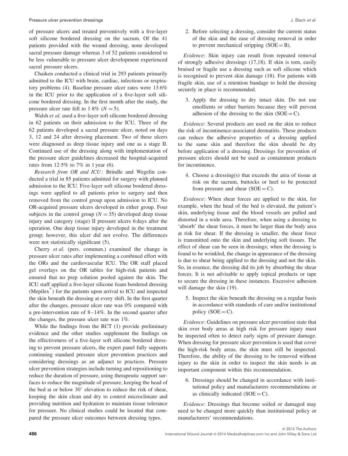of pressure ulcers and treated preventively with a five-layer soft silicone bordered dressing on the sacrum. Of the 41 patients provided with the wound dressing, none developed sacral pressure damage whereas 3 of 52 patients considered to be less vulnerable to pressure ulcer development experienced sacral pressure ulcers.

Chaiken conducted a clinical trial in 293 patients primarily admitted to the ICU with brain, cardiac, infectious or respiratory problems (4). Baseline pressure ulcer rates were 13·6% in the ICU prior to the application of a five-layer soft silicone bordered dressing. In the first month after the study, the pressure ulcer rate fell to  $1.8\%$  ( $N = 5$ ).

Walsh *et al.* used a five-layer soft silicone bordered dressing in 62 patients on their admission to the ICU. Three of the 62 patients developed a sacral pressure ulcer, noted on days 3, 12 and 24 after dressing placement. Two of these ulcers were diagnosed as deep tissue injury and one as a stage II. Continued use of the dressing along with implementation of the pressure ulcer guidelines decreased the hospital-acquired rates from 12·5% to 7% in 1 year (6).

*Research from OR and ICU* : Brindle and Wegelin conducted a trial in 85 patients admitted for surgery with planned admission to the ICU. Five-layer soft silicone bordered dressings were applied to all patients prior to surgery and then removed from the control group upon admission to ICU. No OR-acquired pressure ulcers developed in either group. Four subjects in the control group  $(N = 35)$  developed deep tissue injury and category (stage) II pressure ulcers 6 days after the operation. One deep tissue injury developed in the treatment group; however, this ulcer did not evolve. The differences were not statistically significant (5).

Cherry *et al.* (pers. commun.) examined the change in pressure ulcer rates after implementing a combined effort with the ORs and the cardiovascular ICU. The OR staff placed gel overlays on the OR tables for high-risk patients and ensured that no prep solution pooled against the skin. The ICU staff applied a five-layer silicone foam bordered dressing (Mepilex® ) for the patients upon arrival to ICU and inspected the skin beneath the dressing at every shift. In the first quarter after the changes, pressure ulcer rate was 0% compared with a pre-intervention rate of 8–14%. In the second quarter after the changes, the pressure ulcer rate was 1%.

While the findings from the RCT (1) provide preliminary evidence and the other studies supplement the findings on the effectiveness of a five-layer soft silicone bordered dressing to prevent pressure ulcers, the expert panel fully supports continuing standard pressure ulcer prevention practices and considering dressings as an adjunct to practices. Pressure ulcer prevention strategies include turning and repositioning to reduce the duration of pressure, using therapeutic support surfaces to reduce the magnitude of pressure, keeping the head of the bed at or below  $30^\circ$  elevation to reduce the risk of shear. keeping the skin clean and dry to control microclimate and providing nutrition and hydration to maintain tissue tolerance for pressure. No clinical studies could be located that compared the pressure ulcer outcomes between dressing types.

2. Before selecting a dressing, consider the current status of the skin and the ease of dressing removal in order to prevent mechanical stripping  $(SOE = B)$ .

*Evidence*: Skin injury can result from repeated removal of strongly adhesive dressings (17,18). If skin is torn, easily bruised or fragile use a dressing such as soft silicone which is recognised to prevent skin damage (18). For patients with fragile skin, use of a retention bandage to hold the dressing securely in place is recommended.

3. Apply the dressing to dry intact skin. Do not use emollients or other barriers because they will prevent adhesion of the dressing to the skin  $(SOE = C)$ .

*Evidence*: Several products are used on the skin to reduce the risk of incontinence-associated dermatitis. These products can reduce the adhesive properties of a dressing applied to the same skin and therefore the skin should be dry before application of a dressing. Dressings for prevention of pressure ulcers should not be used as containment products for incontinence.

4. Choose a dressing(s) that exceeds the area of tissue at risk on the sacrum, buttocks or heel to be protected from pressure and shear  $(SOE = C)$ .

*Evidence*: When shear forces are applied to the skin, for example, when the head of the bed is elevated, the patient's skin, underlying tissue and the blood vessels are pulled and distorted in a wide area. Therefore, when using a dressing to 'absorb' the shear forces, it must be larger than the body area at risk for shear. If the dressing is smaller, the shear force is transmitted onto the skin and underlying soft tissues. The effect of shear can be seen in dressings; when the dressing is found to be wrinkled, the change in appearance of the dressing is due to shear being applied to the dressing and not the skin. So, in essence, the dressing did its job by absorbing the shear forces. It is not advisable to apply topical products or tape to secure the dressing in these instances. Excessive adhesion will damage the skin (19).

5. Inspect the skin beneath the dressing on a regular basis in accordance with standards of care and/or institutional policy  $(SOE = C)$ .

*Evidence*: Guidelines on pressure ulcer prevention state that skin over body areas at high risk for pressure injury must be inspected often to detect early signs of pressure damage. When dressing for pressure ulcer prevention is used that cover the high-risk body areas, the skin must still be inspected. Therefore, the ability of the dressing to be removed without injury to the skin in order to inspect the skin needs is an important component within this recommendation.

6. Dressings should be changed in accordance with institutional policy and manufacturers recommendations or as clinically indicated  $(SOE = C)$ .

*Evidence*: Dressings that become soiled or damaged may need to be changed more quickly than institutional policy or manufacturers' recommendations.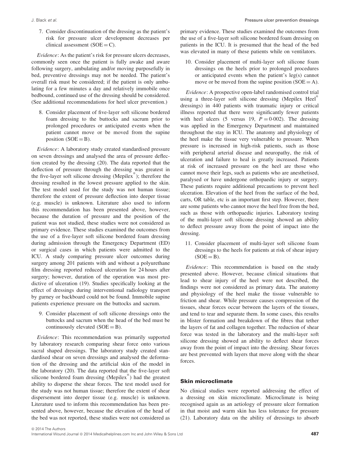7. Consider discontinuation of the dressing as the patient's risk for pressure ulcer development decreases per clinical assessment  $(SOE = C)$ .

*Evidence*: As the patient's risk for pressure ulcers decreases, commonly seen once the patient is fully awake and aware following surgery, ambulating and/or moving purposefully in bed, preventive dressings may not be needed. The patient's overall risk must be considered; if the patient is only ambulating for a few minutes a day and relatively immobile once bedbound, continued use of the dressing should be considered. (See additional recommendations for heel ulcer prevention.)

8. Consider placement of five-layer soft silicone bordered foam dressing to the buttocks and sacrum prior to prolonged procedures or anticipated events when the patient cannot move or be moved from the supine position  $(SOE = B)$ .

*Evidence*: A laboratory study created standardised pressure on seven dressings and analysed the area of pressure deflection created by the dressing (20). The data reported that the deflection of pressure through the dressing was greatest in the five-layer soft silicone dressing (Mepilex® ); therefore the dressing resulted in the lowest pressure applied to the skin. The test model used for the study was not human tissue; therefore the extent of pressure deflection into deeper tissue (e.g. muscle) is unknown. Literature also used to inform this recommendation has been presented above, however, because the duration of pressure and the position of the patient was not studied, these studies were not considered as primary evidence. These studies examined the outcomes from the use of a five-layer soft silicone bordered foam dressing during admission through the Emergency Department (ED) or surgical cases in which patients were admitted to the ICU. A study comparing pressure ulcer outcomes during surgery among 201 patients with and without a polyurethane film dressing reported reduced ulceration for 24 hours after surgery; however, duration of the operation was most predictive of ulceration (19). Studies specifically looking at the effect of dressings during interventional radiology transport by gurney or backboard could not be found. Immobile supine patients experience pressure on the buttocks and sacrum.

9. Consider placement of soft silicone dressings onto the buttocks and sacrum when the head of the bed must be continuously elevated  $(SOE = B)$ .

*Evidence*: This recommendation was primarily supported by laboratory research comparing shear force onto various sacral shaped dressings. The laboratory study created standardised shear on seven dressings and analysed the deformation of the dressing and the artificial skin of the model in the laboratory (20). The data reported that the five-layer soft silicone bordered foam dressing (Mepilex®) had the greatest ability to disperse the shear forces. The test model used for the study was not human tissue; therefore the extent of shear dispersement into deeper tissue (e.g. muscle) is unknown. Literature used to inform this recommendation has been presented above, however, because the elevation of the head of the bed was not reported, these studies were not considered as primary evidence. These studies examined the outcomes from the use of a five-layer soft silicone bordered foam dressing on patients in the ICU. It is presumed that the head of the bed was elevated in many of these patients while on ventilators.

10. Consider placement of multi-layer soft silicone foam dressings on the heels prior to prolonged procedures or anticipated events when the patient's leg(s) cannot move or be moved from the supine position  $(SOE = A)$ .

*Evidence*: A prospective open-label randomised control trial using a three-layer soft silicone dressing (Mepilex Heel<sup>®</sup> dressings) in 440 patients with traumatic injury or critical illness reported that there were significantly fewer patients with heel ulcers (5 versus 19,  $P = 0.002$ ). The dressing was applied in the Emergency Department and maintained throughout the stay in ICU. The anatomy and physiology of the heel make the tissue very vulnerable to pressure. When pressure is increased in high-risk patients, such as those with peripheral arterial disease and neuropathy, the risk of ulceration and failure to heal is greatly increased. Patients at risk of increased pressure on the heel are those who cannot move their legs, such as patients who are anesthetised, paralysed or have undergone orthopaedic injury or surgery. These patients require additional precautions to prevent heel ulceration. Elevation of the heel from the surface of the bed, carts, OR table, etc is an important first step. However, there are some patients who cannot move the heel free from the bed, such as those with orthopaedic injuries. Laboratory testing of the multi-layer soft silicone dressing showed an ability to deflect pressure away from the point of impact into the dressing.

11. Consider placement of multi-layer soft silicone foam dressings to the heels for patients at risk of shear injury  $(SOE = B)$ .

*Evidence*: This recommendation is based on the study presented above. However, because clinical situations that lead to shear injury of the heel were not described, the findings were not considered as primary data. The anatomy and physiology of the heel make the tissue vulnerable to friction and shear. While pressure causes compression of the tissues, shear forces occur between the layers of the tissues, and tend to tear and separate them. In some cases, this results in blister formation and breakdown of the fibres that tether the layers of fat and collagen together. The reduction of shear force was tested in the laboratory and the multi-layer soft silicone dressing showed an ability to deflect shear forces away from the point of impact into the dressing. Shear forces are best prevented with layers that move along with the shear forces.

#### **Skin microclimate**

No clinical studies were reported addressing the effect of a dressing on skin microclimate. Microclimate is being recognised again as an aetiology of pressure ulcer formation in that moist and warm skin has less tolerance for pressure (21). Laboratory data on the ability of dressings to absorb